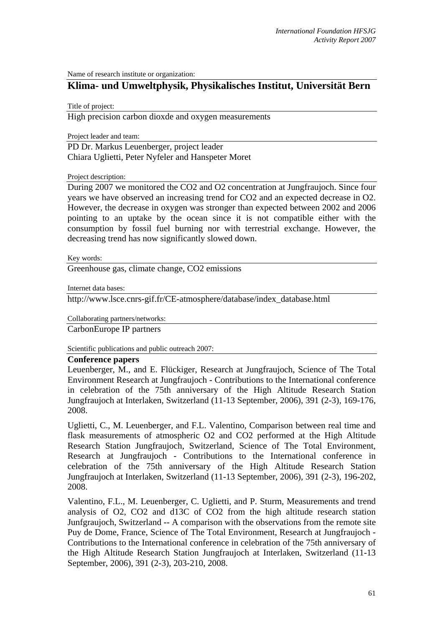Name of research institute or organization:

## **Klima- und Umweltphysik, Physikalisches Institut, Universität Bern**

Title of project:

High precision carbon dioxde and oxygen measurements

Project leader and team:

PD Dr. Markus Leuenberger, project leader Chiara Uglietti, Peter Nyfeler and Hanspeter Moret

Project description:

During 2007 we monitored the CO2 and O2 concentration at Jungfraujoch. Since four years we have observed an increasing trend for CO2 and an expected decrease in O2. However, the decrease in oxygen was stronger than expected between 2002 and 2006 pointing to an uptake by the ocean since it is not compatible either with the consumption by fossil fuel burning nor with terrestrial exchange. However, the decreasing trend has now significantly slowed down.

Key words:

Greenhouse gas, climate change, CO2 emissions

Internet data bases:

http://www.lsce.cnrs-gif.fr/CE-atmosphere/database/index\_database.html

Collaborating partners/networks:

CarbonEurope IP partners

Scientific publications and public outreach 2007:

## **Conference papers**

Leuenberger, M., and E. Flückiger, Research at Jungfraujoch, Science of The Total Environment Research at Jungfraujoch - Contributions to the International conference in celebration of the 75th anniversary of the High Altitude Research Station Jungfraujoch at Interlaken, Switzerland (11-13 September, 2006), 391 (2-3), 169-176, 2008.

Uglietti, C., M. Leuenberger, and F.L. Valentino, Comparison between real time and flask measurements of atmospheric O2 and CO2 performed at the High Altitude Research Station Jungfraujoch, Switzerland, Science of The Total Environment, Research at Jungfraujoch - Contributions to the International conference in celebration of the 75th anniversary of the High Altitude Research Station Jungfraujoch at Interlaken, Switzerland (11-13 September, 2006), 391 (2-3), 196-202, 2008.

Valentino, F.L., M. Leuenberger, C. Uglietti, and P. Sturm, Measurements and trend analysis of O2, CO2 and d13C of CO2 from the high altitude research station Junfgraujoch, Switzerland -- A comparison with the observations from the remote site Puy de Dome, France, Science of The Total Environment, Research at Jungfraujoch - Contributions to the International conference in celebration of the 75th anniversary of the High Altitude Research Station Jungfraujoch at Interlaken, Switzerland (11-13 September, 2006), 391 (2-3), 203-210, 2008.